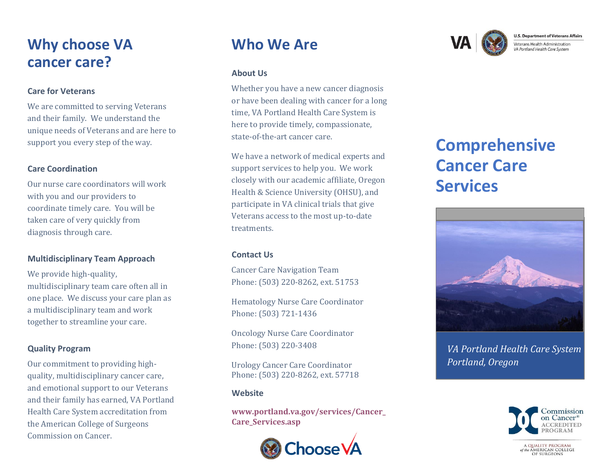## **Why choose VA cancer care?**

### **Care for Veterans**

We are committed to serving Veterans and their family. We understand the unique needs of Veterans and are here to support you every step of the way.

## **Care Coordination**

Our nurse care coordinators will work with you and our providers to coordinate timely care. You will be taken care of very quickly from diagnosis through care.

## **Multidisciplinary Team Approach**

We provide high-quality, multidisciplinary team care often all in one place. We discuss your care plan as a multidisciplinary team and work together to streamline your care.

## **Quality Program**

Our commitment to providing highquality, multidisciplinary cancer care, and emotional support to our Veterans and their family has earned, VA Portland Health Care System accreditation from the American College of Surgeons Commission on Cancer.

## **Who We Are**

## **About Us**

Whether you have a new cancer diagnosis or have been dealing with cancer for a long time, VA Portland Health Care System is here to provide timely, compassionate, state-of-the-art cancer care.

We have a network of medical experts and support services to help you. We work closely with our academic affiliate, Oregon Health & Science University (OHSU), and participate in VA clinical trials that give Veterans access to the most up-to-date treatments.

## **Contact Us**

Cancer Care Navigation Team Phone: (503) 220-8262, ext. 51753

Hematology Nurse Care Coordinator Phone: (503) 721-1436

Oncology Nurse Care Coordinator Phone: (503) 220-3408

Urology Cancer Care Coordinator Phone: (503) 220-8262, ext. 57718

## **Website**

**[www.portland.va.gov/services/Cancer\\_](http://www.portland.va.gov/services/Cancer_Care_Services.asp) [Care\\_Services.asp](http://www.portland.va.gov/services/Cancer_Care_Services.asp)**



**U.S. Department of Veterans Affairs** Veterans Health Administration VA Portland Health Care System

# **Comprehensive Cancer Care Services**



*VA Portland Health Care System Portland, Oregon*



A QUALITY PROGRAM the AMERICAN COLLEGE<br>OF SURGEONS